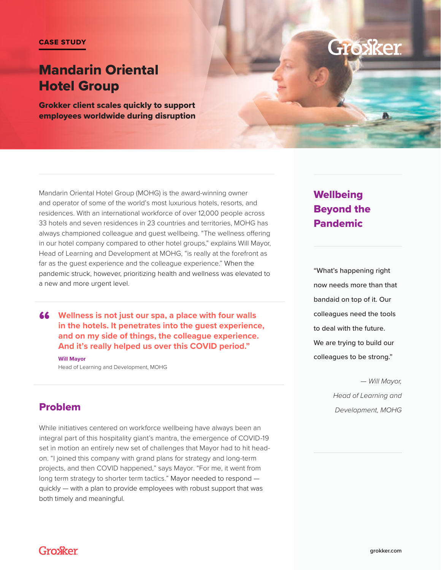# Mandarin Oriental Hotel Group

Grokker client scales quickly to support employees worldwide during disruption



Mandarin Oriental Hotel Group (MOHG) is the award-winning owner and operator of some of the world's most luxurious hotels, resorts, and residences. With an international workforce of over 12,000 people across 33 hotels and seven residences in 23 countries and territories, MOHG has always championed colleague and guest wellbeing. "The wellness offering in our hotel company compared to other hotel groups," explains Will Mayor, Head of Learning and Development at MOHG, "is really at the forefront as far as the guest experience and the colleague experience." When the pandemic struck, however, prioritizing health and wellness was elevated to a new and more urgent level.

**46** Wellness is not just our spa, a place with four walls<br>in the hotels. It penetrates into the guest experience **in the hotels. It penetrates into the guest experience, and on my side of things, the colleague experience. And it's really helped us over this COVID period."**

**Will Mayor** Head of Learning and Development, MOHG

# **Wellbeing** Beyond the Pandemic

"What's happening right now needs more than that bandaid on top of it. Our colleagues need the tools to deal with the future. We are trying to build our colleagues to be strong."

> *— Will Mayor, Head of Learning and Development, MOHG*

### Problem

While initiatives centered on workforce wellbeing have always been an integral part of this hospitality giant's mantra, the emergence of COVID-19 set in motion an entirely new set of challenges that Mayor had to hit headon. "I joined this company with grand plans for strategy and long-term projects, and then COVID happened," says Mayor. "For me, it went from long term strategy to shorter term tactics." Mayor needed to respond quickly — with a plan to provide employees with robust support that was both timely and meaningful.